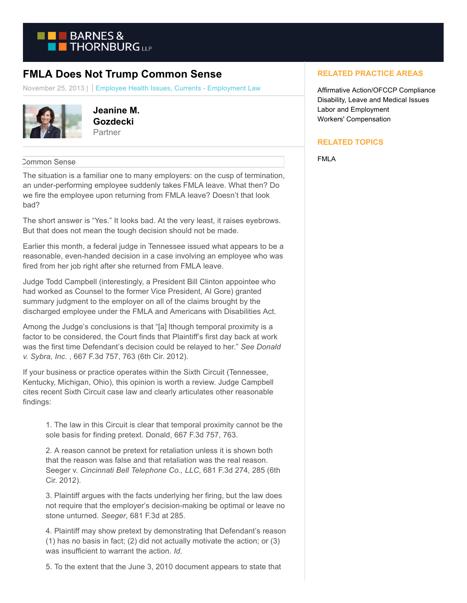

## **FMLA Does Not Trump Common Sense**

November 25, 2013 | Employee Health Issues, Currents - Employment Law



**Jeanine M. Gozdecki Partner** 

## Common Sense

The situation is a familiar one to many employers: on the cusp of termination, an under-performing employee suddenly takes FMLA leave. What then? Do we fire the employee upon returning from FMLA leave? Doesn't that look bad?

The short answer is "Yes." It looks bad. At the very least, it raises eyebrows. But that does not mean the tough decision should not be made.

Earlier this month, a federal judge in Tennessee issued what appears to be a reasonable, even-handed decision in a case involving an employee who was fired from her job right after she returned from FMLA leave.

Judge Todd Campbell (interestingly, a President Bill Clinton appointee who had worked as Counsel to the former Vice President, Al Gore) granted summary judgment to the employer on all of the claims brought by the discharged employee under the FMLA and Americans with Disabilities Act.

Among the Judge's conclusions is that "[a] lthough temporal proximity is a factor to be considered, the Court finds that Plaintiff's first day back at work was the first time Defendant's decision could be relayed to her." *See Donald v. Sybra, Inc.* , 667 F.3d 757, 763 (6th Cir. 2012).

If your business or practice operates within the Sixth Circuit (Tennessee, Kentucky, Michigan, Ohio), this opinion is worth a review. Judge Campbell cites recent Sixth Circuit case law and clearly articulates other reasonable findings:

1. The law in this Circuit is clear that temporal proximity cannot be the sole basis for finding pretext. Donald, 667 F.3d 757, 763.

2. A reason cannot be pretext for retaliation unless it is shown both that the reason was false and that retaliation was the real reason. Seeger v. *Cincinnati Bell Telephone Co., LLC*, 681 F.3d 274, 285 (6th Cir. 2012).

3. Plaintiff argues with the facts underlying her firing, but the law does not require that the employer's decision-making be optimal or leave no stone unturned. *Seeger*, 681 F.3d at 285.

4. Plaintiff may show pretext by demonstrating that Defendant's reason (1) has no basis in fact; (2) did not actually motivate the action; or (3) was insufficient to warrant the action. *Id*.

5. To the extent that the June 3, 2010 document appears to state that

## **RELATED PRACTICE AREAS**

Affirmative Action/OFCCP Compliance Disability, Leave and Medical Issues Labor and Employment Workers' Compensation

## **RELATED TOPICS**

FMLA